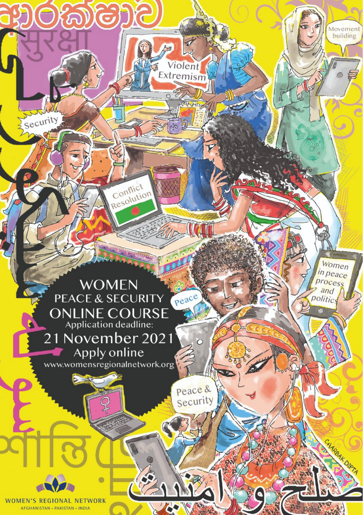

Conflict esolution

Violent Extremism

 $\circ$ 

Peace & Security Movemer building

Women in peace

process  $and$ 

politics

Apply online www.womensregionalnetwork.org

**WOMEN'S REGIONAL NETWORK** AFGHANISTAN . PAKISTAN . INDIA

security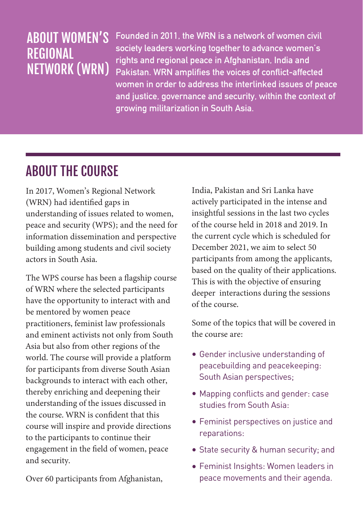#### ABOUT WOMEN'S REGIONAL NETWORK (WRN)

**Founded in 2011, the WRN is a network of women civil society leaders working together to advance women's rights and regional peace in Afghanistan, India and Pakistan. WRN amplifies the voices of conflict-affected women in order to address the interlinked issues of peace and justice, governance and security, within the context of growing militarization in South Asia.**

### ABOUT THE COURSE

In 2017, Women's Regional Network (WRN) had identified gaps in understanding of issues related to women, peace and security (WPS); and the need for information dissemination and perspective building among students and civil society actors in South Asia

The WPS course has been a flagship course of WRN where the selected participants have the opportunity to interact with and be mentored by women peace practitioners, feminist law professionals and eminent activists not only from South Asia but also from other regions of the world. The course will provide a platform for participants from diverse South Asian backgrounds to interact with each other, thereby enriching and deepening their understanding of the issues discussed in the course. WRN is confident that this course will inspire and provide directions to the participants to continue their engagement in the field of women, peace and security.

Over 60 participants from Afghanistan,

India, Pakistan and Sri Lanka have actively participated in the intense and insightful sessions in the last two cycles of the course held in 2018 and 2019. In the current cycle which is scheduled for December 2021, we aim to select 50 participants from among the applicants, based on the quality of their applications. This is with the objective of ensuring deeper interactions during the sessions of the course.

Some of the topics that will be covered in the course are:

- Gender inclusive understanding of peacebuilding and peacekeeping: South Asian perspectives;
- Mapping conflicts and gender: case studies from South Asia:
- Feminist perspectives on justice and reparations:
- State security & human security; and
- Feminist Insights: Women leaders in peace movements and their agenda.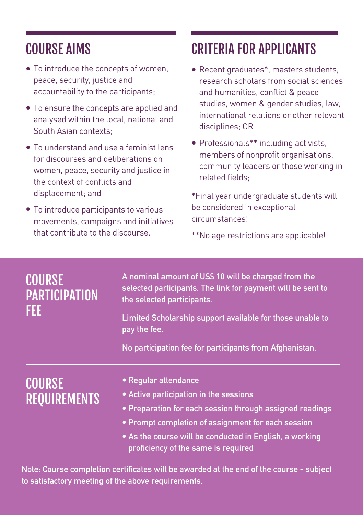## COURSE AIMS

- **•** To introduce the concepts of women, peace, security, justice and accountability to the participants;
- To ensure the concepts are applied and **•** analysed within the local, national and South Asian contexts;
- To understand and use a feminist lens **•** for discourses and deliberations on women, peace, security and justice in the context of conflicts and displacement; and
- To introduce participants to various **•** movements, campaigns and initiatives that contribute to the discourse.

# CRITERIA FOR APPLICANTS

- **•** Recent graduates\*, masters students, research scholars from social sciences and humanities, conflict & peace studies, women & gender studies, law, international relations or other relevant disciplines; OR
- Professionals\*\* including activists, **•** members of nonprofit organisations, community leaders or those working in related fields;

\*Final year undergraduate students will be considered in exceptional circumstances!

\*\*No age restrictions are applicable!

| <b>COURSE</b><br><b>PARTICIPATION</b><br>FEE | A nominal amount of US\$ 10 will be charged from the<br>selected participants. The link for payment will be sent to<br>the selected participants.<br>Limited Scholarship support available for those unable to<br>pay the fee.<br>No participation fee for participants from Afghanistan. |
|----------------------------------------------|-------------------------------------------------------------------------------------------------------------------------------------------------------------------------------------------------------------------------------------------------------------------------------------------|
| <b>COURSE</b><br><b>REQUIREMENTS</b>         | • Regular attendance<br>• Active participation in the sessions<br>• Preparation for each session through assigned readings<br>. Prompt completion of assignment for each session<br>• As the course will be conducted in English, a working<br>proficiency of the same is required        |
|                                              | and the company of the company of the company of the company of the company of the company of the company of the<br>the contract of the contract of the contract of the contract of the contract of the contract of the contract of                                                       |

**Note: Course completion certificates will be awarded at the end of the course - subject to satisfactory meeting of the above requirements.**